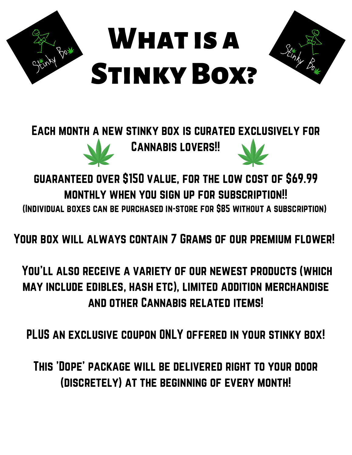

## Each month a new stinky box is curated exclusively for Cannabis lovers!!

guaranteed over \$150 value, for the low cost of \$69.99 monthly when you sign up for subscription!! (Individual boxes can be purchased in-store for \$85 without a subscription)

Your box will always contain 7 Grams of our premium flower!

You'll also receive a variety of our newest products (which may include edibles, hash etc), limited addition merchandise and other Cannabis related items!

PLUS an exclusive coupon ONLY offered in your stinky box!

This 'Dope' package will be delivered right to your door (discretely) at the beginning of every month!